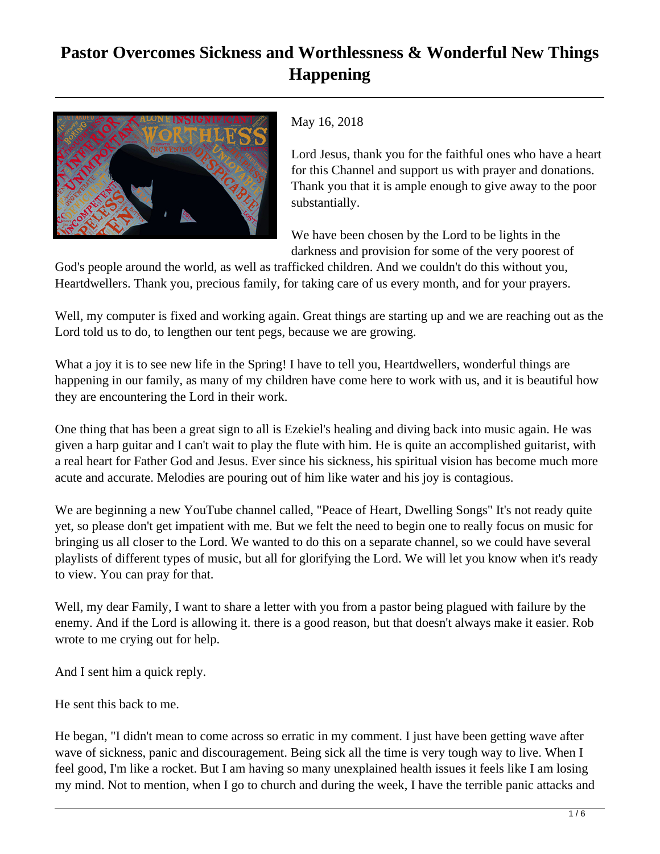## **Pastor Overcomes Sickness and Worthlessness & Wonderful New Things Happening**



May 16, 2018

Lord Jesus, thank you for the faithful ones who have a heart for this Channel and support us with prayer and donations. Thank you that it is ample enough to give away to the poor substantially.

We have been chosen by the Lord to be lights in the darkness and provision for some of the very poorest of

God's people around the world, as well as trafficked children. And we couldn't do this without you, Heartdwellers. Thank you, precious family, for taking care of us every month, and for your prayers.

Well, my computer is fixed and working again. Great things are starting up and we are reaching out as the Lord told us to do, to lengthen our tent pegs, because we are growing.

What a joy it is to see new life in the Spring! I have to tell you, Heartdwellers, wonderful things are happening in our family, as many of my children have come here to work with us, and it is beautiful how they are encountering the Lord in their work.

One thing that has been a great sign to all is Ezekiel's healing and diving back into music again. He was given a harp guitar and I can't wait to play the flute with him. He is quite an accomplished guitarist, with a real heart for Father God and Jesus. Ever since his sickness, his spiritual vision has become much more acute and accurate. Melodies are pouring out of him like water and his joy is contagious.

We are beginning a new YouTube channel called, "Peace of Heart, Dwelling Songs" It's not ready quite yet, so please don't get impatient with me. But we felt the need to begin one to really focus on music for bringing us all closer to the Lord. We wanted to do this on a separate channel, so we could have several playlists of different types of music, but all for glorifying the Lord. We will let you know when it's ready to view. You can pray for that.

Well, my dear Family, I want to share a letter with you from a pastor being plagued with failure by the enemy. And if the Lord is allowing it. there is a good reason, but that doesn't always make it easier. Rob wrote to me crying out for help.

And I sent him a quick reply.

He sent this back to me.

He began, "I didn't mean to come across so erratic in my comment. I just have been getting wave after wave of sickness, panic and discouragement. Being sick all the time is very tough way to live. When I feel good, I'm like a rocket. But I am having so many unexplained health issues it feels like I am losing my mind. Not to mention, when I go to church and during the week, I have the terrible panic attacks and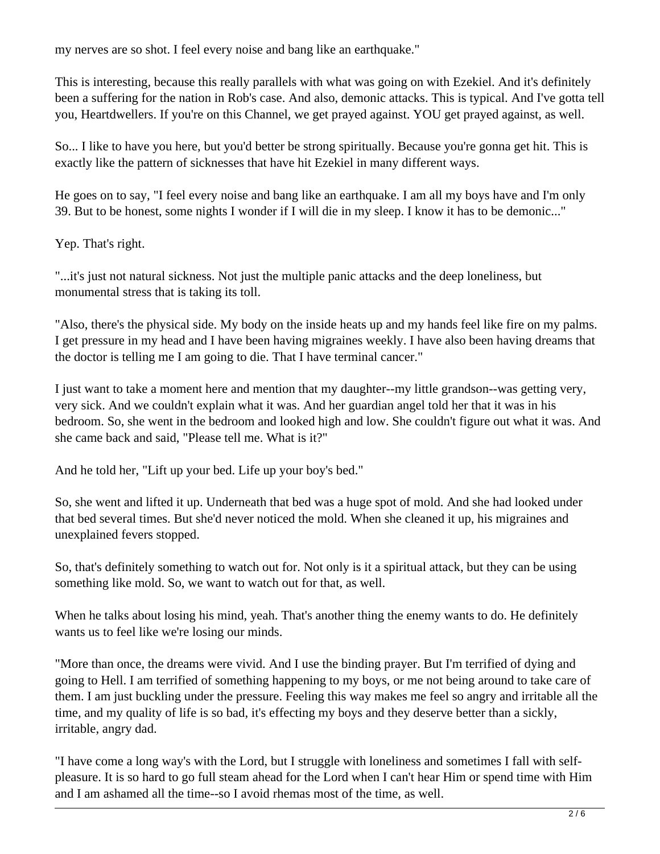my nerves are so shot. I feel every noise and bang like an earthquake."

This is interesting, because this really parallels with what was going on with Ezekiel. And it's definitely been a suffering for the nation in Rob's case. And also, demonic attacks. This is typical. And I've gotta tell you, Heartdwellers. If you're on this Channel, we get prayed against. YOU get prayed against, as well.

So... I like to have you here, but you'd better be strong spiritually. Because you're gonna get hit. This is exactly like the pattern of sicknesses that have hit Ezekiel in many different ways.

He goes on to say, "I feel every noise and bang like an earthquake. I am all my boys have and I'm only 39. But to be honest, some nights I wonder if I will die in my sleep. I know it has to be demonic..."

Yep. That's right.

"...it's just not natural sickness. Not just the multiple panic attacks and the deep loneliness, but monumental stress that is taking its toll.

"Also, there's the physical side. My body on the inside heats up and my hands feel like fire on my palms. I get pressure in my head and I have been having migraines weekly. I have also been having dreams that the doctor is telling me I am going to die. That I have terminal cancer."

I just want to take a moment here and mention that my daughter--my little grandson--was getting very, very sick. And we couldn't explain what it was. And her guardian angel told her that it was in his bedroom. So, she went in the bedroom and looked high and low. She couldn't figure out what it was. And she came back and said, "Please tell me. What is it?"

And he told her, "Lift up your bed. Life up your boy's bed."

So, she went and lifted it up. Underneath that bed was a huge spot of mold. And she had looked under that bed several times. But she'd never noticed the mold. When she cleaned it up, his migraines and unexplained fevers stopped.

So, that's definitely something to watch out for. Not only is it a spiritual attack, but they can be using something like mold. So, we want to watch out for that, as well.

When he talks about losing his mind, yeah. That's another thing the enemy wants to do. He definitely wants us to feel like we're losing our minds.

"More than once, the dreams were vivid. And I use the binding prayer. But I'm terrified of dying and going to Hell. I am terrified of something happening to my boys, or me not being around to take care of them. I am just buckling under the pressure. Feeling this way makes me feel so angry and irritable all the time, and my quality of life is so bad, it's effecting my boys and they deserve better than a sickly, irritable, angry dad.

"I have come a long way's with the Lord, but I struggle with loneliness and sometimes I fall with selfpleasure. It is so hard to go full steam ahead for the Lord when I can't hear Him or spend time with Him and I am ashamed all the time--so I avoid rhemas most of the time, as well.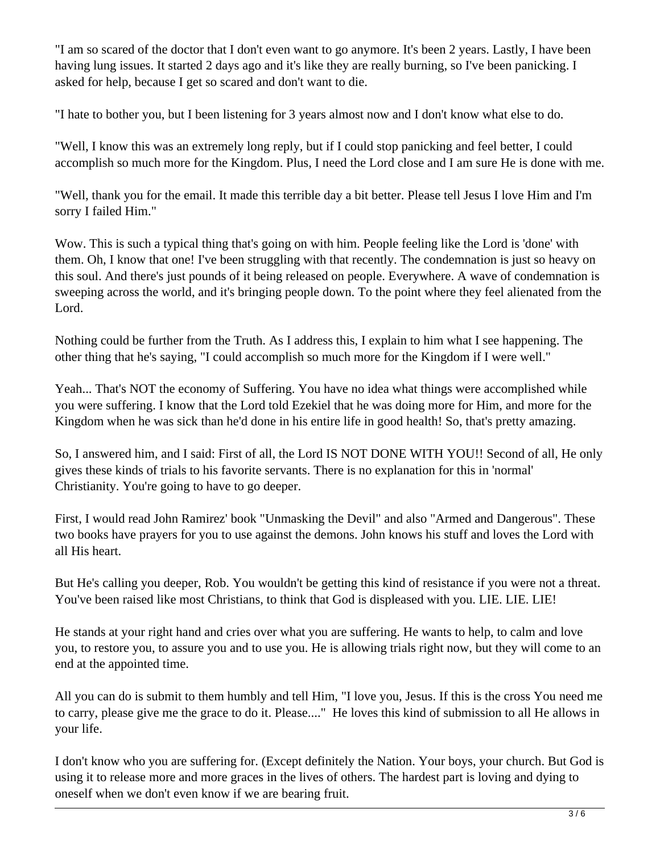"I am so scared of the doctor that I don't even want to go anymore. It's been 2 years. Lastly, I have been having lung issues. It started 2 days ago and it's like they are really burning, so I've been panicking. I asked for help, because I get so scared and don't want to die.

"I hate to bother you, but I been listening for 3 years almost now and I don't know what else to do.

"Well, I know this was an extremely long reply, but if I could stop panicking and feel better, I could accomplish so much more for the Kingdom. Plus, I need the Lord close and I am sure He is done with me.

"Well, thank you for the email. It made this terrible day a bit better. Please tell Jesus I love Him and I'm sorry I failed Him."

Wow. This is such a typical thing that's going on with him. People feeling like the Lord is 'done' with them. Oh, I know that one! I've been struggling with that recently. The condemnation is just so heavy on this soul. And there's just pounds of it being released on people. Everywhere. A wave of condemnation is sweeping across the world, and it's bringing people down. To the point where they feel alienated from the Lord.

Nothing could be further from the Truth. As I address this, I explain to him what I see happening. The other thing that he's saying, "I could accomplish so much more for the Kingdom if I were well."

Yeah... That's NOT the economy of Suffering. You have no idea what things were accomplished while you were suffering. I know that the Lord told Ezekiel that he was doing more for Him, and more for the Kingdom when he was sick than he'd done in his entire life in good health! So, that's pretty amazing.

So, I answered him, and I said: First of all, the Lord IS NOT DONE WITH YOU!! Second of all, He only gives these kinds of trials to his favorite servants. There is no explanation for this in 'normal' Christianity. You're going to have to go deeper.

First, I would read John Ramirez' book "Unmasking the Devil" and also "Armed and Dangerous". These two books have prayers for you to use against the demons. John knows his stuff and loves the Lord with all His heart.

But He's calling you deeper, Rob. You wouldn't be getting this kind of resistance if you were not a threat. You've been raised like most Christians, to think that God is displeased with you. LIE. LIE. LIE!

He stands at your right hand and cries over what you are suffering. He wants to help, to calm and love you, to restore you, to assure you and to use you. He is allowing trials right now, but they will come to an end at the appointed time.

All you can do is submit to them humbly and tell Him, "I love you, Jesus. If this is the cross You need me to carry, please give me the grace to do it. Please...." He loves this kind of submission to all He allows in your life.

I don't know who you are suffering for. (Except definitely the Nation. Your boys, your church. But God is using it to release more and more graces in the lives of others. The hardest part is loving and dying to oneself when we don't even know if we are bearing fruit.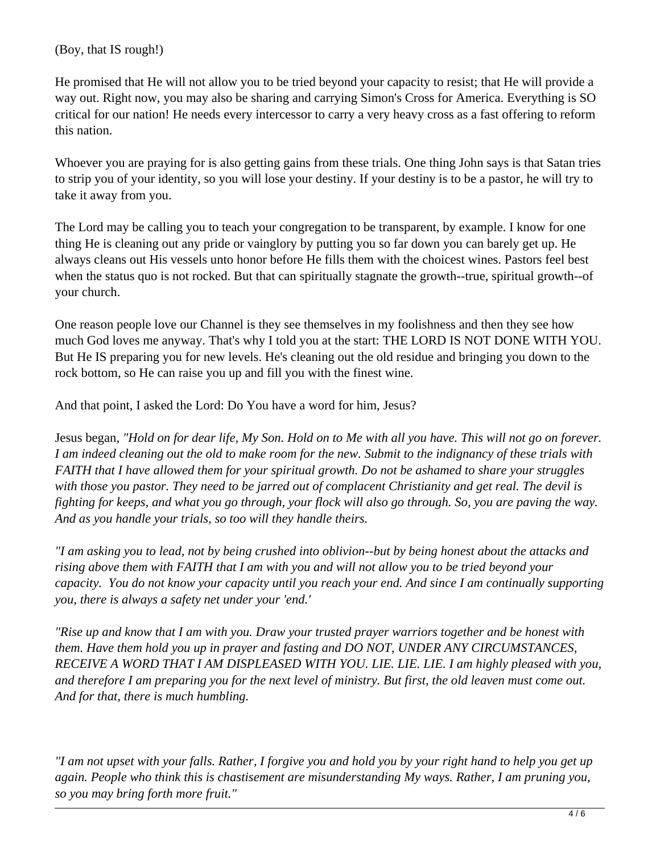(Boy, that IS rough!)

He promised that He will not allow you to be tried beyond your capacity to resist; that He will provide a way out. Right now, you may also be sharing and carrying Simon's Cross for America. Everything is SO critical for our nation! He needs every intercessor to carry a very heavy cross as a fast offering to reform this nation.

Whoever you are praying for is also getting gains from these trials. One thing John says is that Satan tries to strip you of your identity, so you will lose your destiny. If your destiny is to be a pastor, he will try to take it away from you.

The Lord may be calling you to teach your congregation to be transparent, by example. I know for one thing He is cleaning out any pride or vainglory by putting you so far down you can barely get up. He always cleans out His vessels unto honor before He fills them with the choicest wines. Pastors feel best when the status quo is not rocked. But that can spiritually stagnate the growth--true, spiritual growth--of your church.

One reason people love our Channel is they see themselves in my foolishness and then they see how much God loves me anyway. That's why I told you at the start: THE LORD IS NOT DONE WITH YOU. But He IS preparing you for new levels. He's cleaning out the old residue and bringing you down to the rock bottom, so He can raise you up and fill you with the finest wine.

And that point, I asked the Lord: Do You have a word for him, Jesus?

Jesus began, *"Hold on for dear life, My Son. Hold on to Me with all you have. This will not go on forever. I am indeed cleaning out the old to make room for the new. Submit to the indignancy of these trials with FAITH that I have allowed them for your spiritual growth. Do not be ashamed to share your struggles with those you pastor. They need to be jarred out of complacent Christianity and get real. The devil is fighting for keeps, and what you go through, your flock will also go through. So, you are paving the way. And as you handle your trials, so too will they handle theirs.*

*"I am asking you to lead, not by being crushed into oblivion--but by being honest about the attacks and rising above them with FAITH that I am with you and will not allow you to be tried beyond your capacity. You do not know your capacity until you reach your end. And since I am continually supporting you, there is always a safety net under your 'end.'*

*"Rise up and know that I am with you. Draw your trusted prayer warriors together and be honest with them. Have them hold you up in prayer and fasting and DO NOT, UNDER ANY CIRCUMSTANCES, RECEIVE A WORD THAT I AM DISPLEASED WITH YOU. LIE. LIE. LIE. I am highly pleased with you, and therefore I am preparing you for the next level of ministry. But first, the old leaven must come out. And for that, there is much humbling.* 

*"I am not upset with your falls. Rather, I forgive you and hold you by your right hand to help you get up again. People who think this is chastisement are misunderstanding My ways. Rather, I am pruning you, so you may bring forth more fruit."*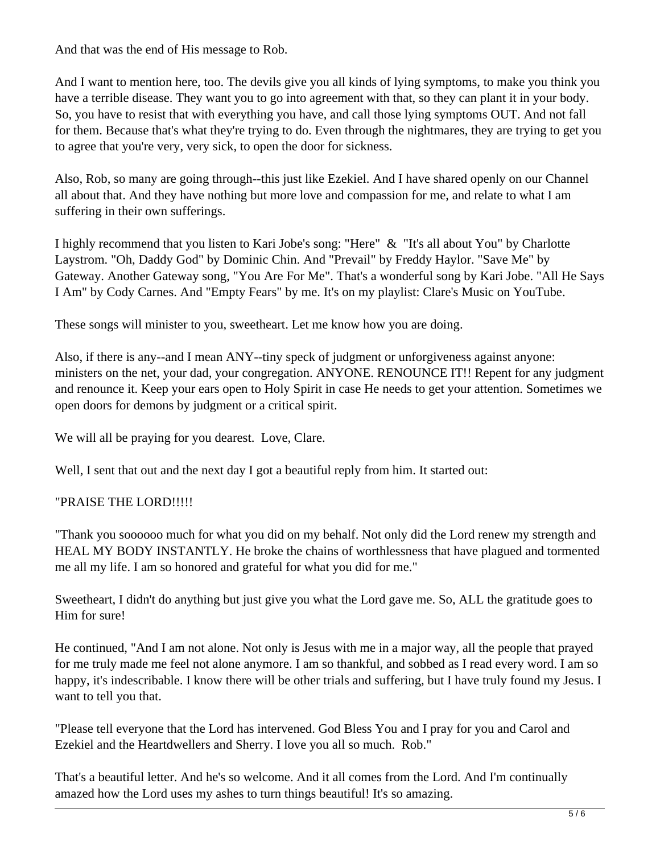And that was the end of His message to Rob.

And I want to mention here, too. The devils give you all kinds of lying symptoms, to make you think you have a terrible disease. They want you to go into agreement with that, so they can plant it in your body. So, you have to resist that with everything you have, and call those lying symptoms OUT. And not fall for them. Because that's what they're trying to do. Even through the nightmares, they are trying to get you to agree that you're very, very sick, to open the door for sickness.

Also, Rob, so many are going through--this just like Ezekiel. And I have shared openly on our Channel all about that. And they have nothing but more love and compassion for me, and relate to what I am suffering in their own sufferings.

I highly recommend that you listen to Kari Jobe's song: "Here" & "It's all about You" by Charlotte Laystrom. "Oh, Daddy God" by Dominic Chin. And "Prevail" by Freddy Haylor. "Save Me" by Gateway. Another Gateway song, "You Are For Me". That's a wonderful song by Kari Jobe. "All He Says I Am" by Cody Carnes. And "Empty Fears" by me. It's on my playlist: Clare's Music on YouTube.

These songs will minister to you, sweetheart. Let me know how you are doing.

Also, if there is any--and I mean ANY--tiny speck of judgment or unforgiveness against anyone: ministers on the net, your dad, your congregation. ANYONE. RENOUNCE IT!! Repent for any judgment and renounce it. Keep your ears open to Holy Spirit in case He needs to get your attention. Sometimes we open doors for demons by judgment or a critical spirit.

We will all be praying for you dearest. Love, Clare.

Well, I sent that out and the next day I got a beautiful reply from him. It started out:

## "PRAISE THE LORD!!!!!

"Thank you soooooo much for what you did on my behalf. Not only did the Lord renew my strength and HEAL MY BODY INSTANTLY. He broke the chains of worthlessness that have plagued and tormented me all my life. I am so honored and grateful for what you did for me."

Sweetheart, I didn't do anything but just give you what the Lord gave me. So, ALL the gratitude goes to Him for sure!

He continued, "And I am not alone. Not only is Jesus with me in a major way, all the people that prayed for me truly made me feel not alone anymore. I am so thankful, and sobbed as I read every word. I am so happy, it's indescribable. I know there will be other trials and suffering, but I have truly found my Jesus. I want to tell you that.

"Please tell everyone that the Lord has intervened. God Bless You and I pray for you and Carol and Ezekiel and the Heartdwellers and Sherry. I love you all so much. Rob."

That's a beautiful letter. And he's so welcome. And it all comes from the Lord. And I'm continually amazed how the Lord uses my ashes to turn things beautiful! It's so amazing.